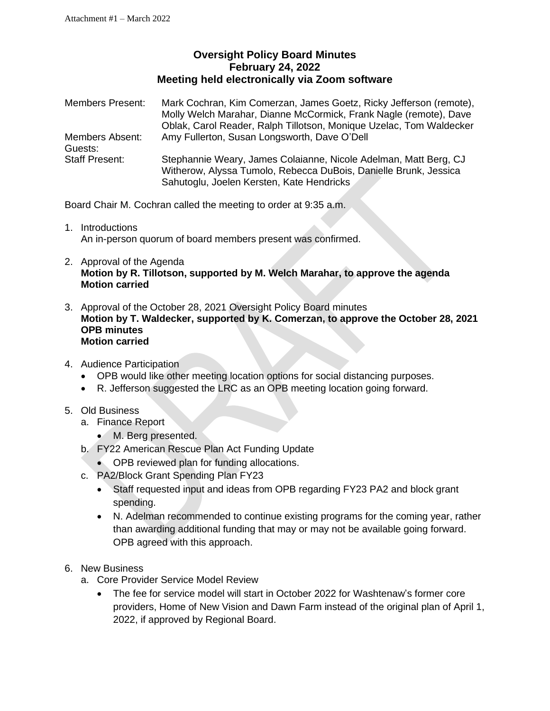## **Oversight Policy Board Minutes February 24, 2022 Meeting held electronically via Zoom software**

| <b>Members Present:</b>    | Mark Cochran, Kim Comerzan, James Goetz, Ricky Jefferson (remote),<br>Molly Welch Marahar, Dianne McCormick, Frank Nagle (remote), Dave<br>Oblak, Carol Reader, Ralph Tillotson, Monique Uzelac, Tom Waldecker |
|----------------------------|----------------------------------------------------------------------------------------------------------------------------------------------------------------------------------------------------------------|
| Members Absent:<br>Guests: | Amy Fullerton, Susan Longsworth, Dave O'Dell                                                                                                                                                                   |
| <b>Staff Present:</b>      | Stephannie Weary, James Colaianne, Nicole Adelman, Matt Berg, CJ<br>Witherow, Alyssa Tumolo, Rebecca DuBois, Danielle Brunk, Jessica<br>Sahutoglu, Joelen Kersten, Kate Hendricks                              |

Board Chair M. Cochran called the meeting to order at 9:35 a.m.

- 1. Introductions An in-person quorum of board members present was confirmed.
- 2. Approval of the Agenda **Motion by R. Tillotson, supported by M. Welch Marahar, to approve the agenda Motion carried**
- 3. Approval of the October 28, 2021 Oversight Policy Board minutes **Motion by T. Waldecker, supported by K. Comerzan, to approve the October 28, 2021 OPB minutes Motion carried**
- 4. Audience Participation
	- OPB would like other meeting location options for social distancing purposes.
	- R. Jefferson suggested the LRC as an OPB meeting location going forward.

## 5. Old Business

- a. Finance Report
	- M. Berg presented.
- b. FY22 American Rescue Plan Act Funding Update
	- OPB reviewed plan for funding allocations.
- c. PA2/Block Grant Spending Plan FY23
	- Staff requested input and ideas from OPB regarding FY23 PA2 and block grant spending.
	- N. Adelman recommended to continue existing programs for the coming year, rather than awarding additional funding that may or may not be available going forward. OPB agreed with this approach.
- 6. New Business
	- a. Core Provider Service Model Review
		- The fee for service model will start in October 2022 for Washtenaw's former core providers, Home of New Vision and Dawn Farm instead of the original plan of April 1, 2022, if approved by Regional Board.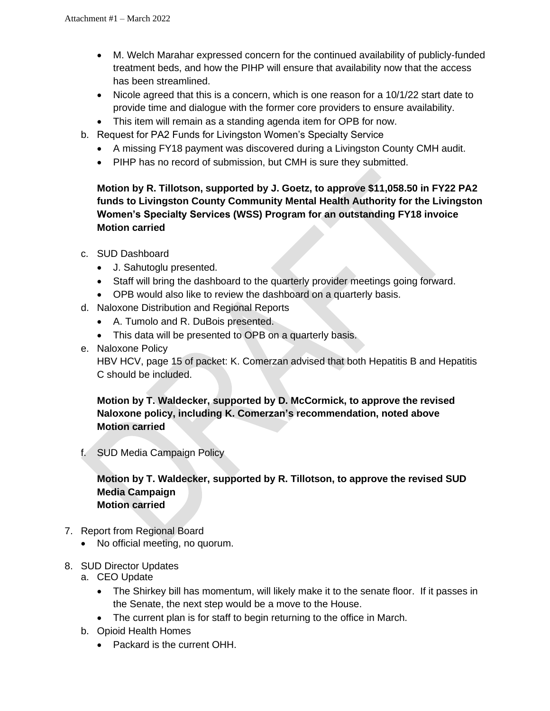- M. Welch Marahar expressed concern for the continued availability of publicly-funded treatment beds, and how the PIHP will ensure that availability now that the access has been streamlined.
- Nicole agreed that this is a concern, which is one reason for a 10/1/22 start date to provide time and dialogue with the former core providers to ensure availability.
- This item will remain as a standing agenda item for OPB for now.
- b. Request for PA2 Funds for Livingston Women's Specialty Service
	- A missing FY18 payment was discovered during a Livingston County CMH audit.
	- PIHP has no record of submission, but CMH is sure they submitted.

**Motion by R. Tillotson, supported by J. Goetz, to approve \$11,058.50 in FY22 PA2 funds to Livingston County Community Mental Health Authority for the Livingston Women's Specialty Services (WSS) Program for an outstanding FY18 invoice Motion carried**

- c. SUD Dashboard
	- J. Sahutoglu presented.
	- Staff will bring the dashboard to the quarterly provider meetings going forward.
	- OPB would also like to review the dashboard on a quarterly basis.
- d. Naloxone Distribution and Regional Reports
	- A. Tumolo and R. DuBois presented.
	- This data will be presented to OPB on a quarterly basis.
- e. Naloxone Policy

HBV HCV, page 15 of packet: K. Comerzan advised that both Hepatitis B and Hepatitis C should be included.

**Motion by T. Waldecker, supported by D. McCormick, to approve the revised Naloxone policy, including K. Comerzan's recommendation, noted above Motion carried**

f. SUD Media Campaign Policy

## **Motion by T. Waldecker, supported by R. Tillotson, to approve the revised SUD Media Campaign Motion carried**

- 7. Report from Regional Board
	- No official meeting, no quorum.
- 8. SUD Director Updates
	- a. CEO Update
		- The Shirkey bill has momentum, will likely make it to the senate floor. If it passes in the Senate, the next step would be a move to the House.
		- The current plan is for staff to begin returning to the office in March.
	- b. Opioid Health Homes
		- Packard is the current OHH.